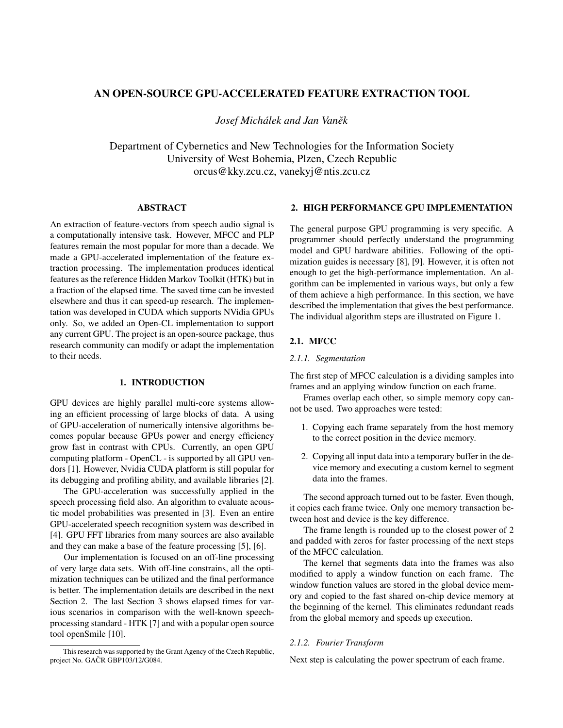# AN OPEN-SOURCE GPU-ACCELERATED FEATURE EXTRACTION TOOL

*Josef Michálek and Jan Vaněk* 

Department of Cybernetics and New Technologies for the Information Society University of West Bohemia, Plzen, Czech Republic orcus@kky.zcu.cz, vanekyj@ntis.zcu.cz

### ABSTRACT

An extraction of feature-vectors from speech audio signal is a computationally intensive task. However, MFCC and PLP features remain the most popular for more than a decade. We made a GPU-accelerated implementation of the feature extraction processing. The implementation produces identical features as the reference Hidden Markov Toolkit (HTK) but in a fraction of the elapsed time. The saved time can be invested elsewhere and thus it can speed-up research. The implementation was developed in CUDA which supports NVidia GPUs only. So, we added an Open-CL implementation to support any current GPU. The project is an open-source package, thus research community can modify or adapt the implementation to their needs.

# 1. INTRODUCTION

GPU devices are highly parallel multi-core systems allowing an efficient processing of large blocks of data. A using of GPU-acceleration of numerically intensive algorithms becomes popular because GPUs power and energy efficiency grow fast in contrast with CPUs. Currently, an open GPU computing platform - OpenCL - is supported by all GPU vendors [1]. However, Nvidia CUDA platform is still popular for its debugging and profiling ability, and available libraries [2].

The GPU-acceleration was successfully applied in the speech processing field also. An algorithm to evaluate acoustic model probabilities was presented in [3]. Even an entire GPU-accelerated speech recognition system was described in [4]. GPU FFT libraries from many sources are also available and they can make a base of the feature processing [5], [6].

Our implementation is focused on an off-line processing of very large data sets. With off-line constrains, all the optimization techniques can be utilized and the final performance is better. The implementation details are described in the next Section 2. The last Section 3 shows elapsed times for various scenarios in comparison with the well-known speechprocessing standard - HTK [7] and with a popular open source tool openSmile [10].

## 2. HIGH PERFORMANCE GPU IMPLEMENTATION

The general purpose GPU programming is very specific. A programmer should perfectly understand the programming model and GPU hardware abilities. Following of the optimization guides is necessary [8], [9]. However, it is often not enough to get the high-performance implementation. An algorithm can be implemented in various ways, but only a few of them achieve a high performance. In this section, we have described the implementation that gives the best performance. The individual algorithm steps are illustrated on Figure 1.

# 2.1. MFCC

#### *2.1.1. Segmentation*

The first step of MFCC calculation is a dividing samples into frames and an applying window function on each frame.

Frames overlap each other, so simple memory copy cannot be used. Two approaches were tested:

- 1. Copying each frame separately from the host memory to the correct position in the device memory.
- 2. Copying all input data into a temporary buffer in the device memory and executing a custom kernel to segment data into the frames.

The second approach turned out to be faster. Even though, it copies each frame twice. Only one memory transaction between host and device is the key difference.

The frame length is rounded up to the closest power of 2 and padded with zeros for faster processing of the next steps of the MFCC calculation.

The kernel that segments data into the frames was also modified to apply a window function on each frame. The window function values are stored in the global device memory and copied to the fast shared on-chip device memory at the beginning of the kernel. This eliminates redundant reads from the global memory and speeds up execution.

#### *2.1.2. Fourier Transform*

Next step is calculating the power spectrum of each frame.

This research was supported by the Grant Agency of the Czech Republic, project No. GAČR GBP103/12/G084.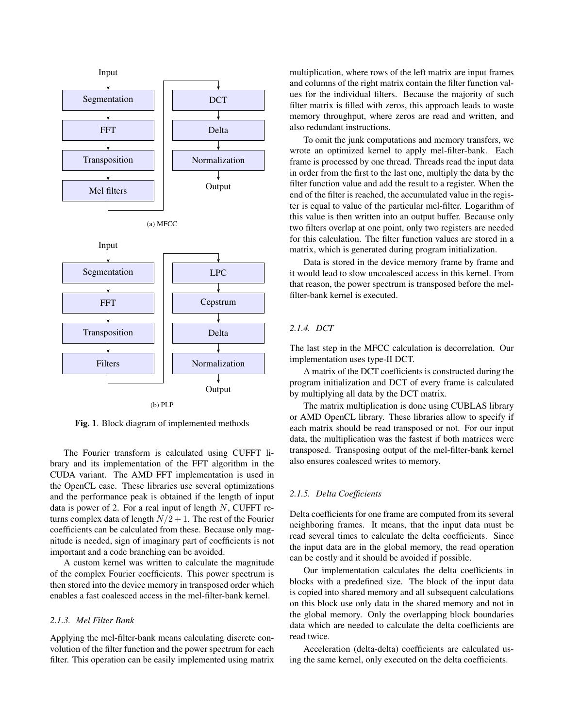



Fig. 1. Block diagram of implemented methods

The Fourier transform is calculated using CUFFT library and its implementation of the FFT algorithm in the CUDA variant. The AMD FFT implementation is used in the OpenCL case. These libraries use several optimizations and the performance peak is obtained if the length of input data is power of 2. For a real input of length  $N$ , CUFFT returns complex data of length  $N/2 + 1$ . The rest of the Fourier coefficients can be calculated from these. Because only magnitude is needed, sign of imaginary part of coefficients is not important and a code branching can be avoided.

A custom kernel was written to calculate the magnitude of the complex Fourier coefficients. This power spectrum is then stored into the device memory in transposed order which enables a fast coalesced access in the mel-filter-bank kernel.

### *2.1.3. Mel Filter Bank*

Applying the mel-filter-bank means calculating discrete convolution of the filter function and the power spectrum for each filter. This operation can be easily implemented using matrix

multiplication, where rows of the left matrix are input frames and columns of the right matrix contain the filter function values for the individual filters. Because the majority of such filter matrix is filled with zeros, this approach leads to waste memory throughput, where zeros are read and written, and also redundant instructions.

To omit the junk computations and memory transfers, we wrote an optimized kernel to apply mel-filter-bank. Each frame is processed by one thread. Threads read the input data in order from the first to the last one, multiply the data by the filter function value and add the result to a register. When the end of the filter is reached, the accumulated value in the register is equal to value of the particular mel-filter. Logarithm of this value is then written into an output buffer. Because only two filters overlap at one point, only two registers are needed for this calculation. The filter function values are stored in a matrix, which is generated during program initialization.

Data is stored in the device memory frame by frame and it would lead to slow uncoalesced access in this kernel. From that reason, the power spectrum is transposed before the melfilter-bank kernel is executed.

# *2.1.4. DCT*

The last step in the MFCC calculation is decorrelation. Our implementation uses type-II DCT.

A matrix of the DCT coefficients is constructed during the program initialization and DCT of every frame is calculated by multiplying all data by the DCT matrix.

The matrix multiplication is done using CUBLAS library or AMD OpenCL library. These libraries allow to specify if each matrix should be read transposed or not. For our input data, the multiplication was the fastest if both matrices were transposed. Transposing output of the mel-filter-bank kernel also ensures coalesced writes to memory.

### *2.1.5. Delta Coefficients*

Delta coefficients for one frame are computed from its several neighboring frames. It means, that the input data must be read several times to calculate the delta coefficients. Since the input data are in the global memory, the read operation can be costly and it should be avoided if possible.

Our implementation calculates the delta coefficients in blocks with a predefined size. The block of the input data is copied into shared memory and all subsequent calculations on this block use only data in the shared memory and not in the global memory. Only the overlapping block boundaries data which are needed to calculate the delta coefficients are read twice.

Acceleration (delta-delta) coefficients are calculated using the same kernel, only executed on the delta coefficients.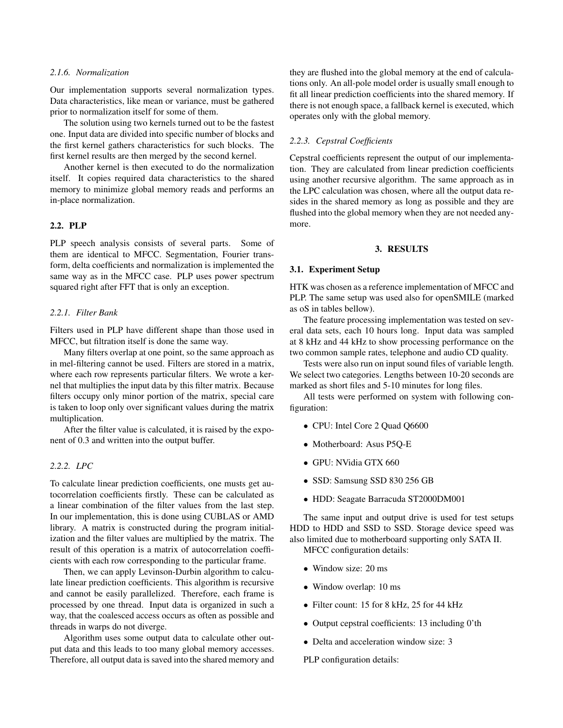## *2.1.6. Normalization*

Our implementation supports several normalization types. Data characteristics, like mean or variance, must be gathered prior to normalization itself for some of them.

The solution using two kernels turned out to be the fastest one. Input data are divided into specific number of blocks and the first kernel gathers characteristics for such blocks. The first kernel results are then merged by the second kernel.

Another kernel is then executed to do the normalization itself. It copies required data characteristics to the shared memory to minimize global memory reads and performs an in-place normalization.

### 2.2. PLP

PLP speech analysis consists of several parts. Some of them are identical to MFCC. Segmentation, Fourier transform, delta coefficients and normalization is implemented the same way as in the MFCC case. PLP uses power spectrum squared right after FFT that is only an exception.

#### *2.2.1. Filter Bank*

Filters used in PLP have different shape than those used in MFCC, but filtration itself is done the same way.

Many filters overlap at one point, so the same approach as in mel-filtering cannot be used. Filters are stored in a matrix, where each row represents particular filters. We wrote a kernel that multiplies the input data by this filter matrix. Because filters occupy only minor portion of the matrix, special care is taken to loop only over significant values during the matrix multiplication.

After the filter value is calculated, it is raised by the exponent of 0.3 and written into the output buffer.

## *2.2.2. LPC*

To calculate linear prediction coefficients, one musts get autocorrelation coefficients firstly. These can be calculated as a linear combination of the filter values from the last step. In our implementation, this is done using CUBLAS or AMD library. A matrix is constructed during the program initialization and the filter values are multiplied by the matrix. The result of this operation is a matrix of autocorrelation coefficients with each row corresponding to the particular frame.

Then, we can apply Levinson-Durbin algorithm to calculate linear prediction coefficients. This algorithm is recursive and cannot be easily parallelized. Therefore, each frame is processed by one thread. Input data is organized in such a way, that the coalesced access occurs as often as possible and threads in warps do not diverge.

Algorithm uses some output data to calculate other output data and this leads to too many global memory accesses. Therefore, all output data is saved into the shared memory and they are flushed into the global memory at the end of calculations only. An all-pole model order is usually small enough to fit all linear prediction coefficients into the shared memory. If there is not enough space, a fallback kernel is executed, which operates only with the global memory.

### *2.2.3. Cepstral Coefficients*

Cepstral coefficients represent the output of our implementation. They are calculated from linear prediction coefficients using another recursive algorithm. The same approach as in the LPC calculation was chosen, where all the output data resides in the shared memory as long as possible and they are flushed into the global memory when they are not needed anymore.

### 3. RESULTS

#### 3.1. Experiment Setup

HTK was chosen as a reference implementation of MFCC and PLP. The same setup was used also for openSMILE (marked as oS in tables bellow).

The feature processing implementation was tested on several data sets, each 10 hours long. Input data was sampled at 8 kHz and 44 kHz to show processing performance on the two common sample rates, telephone and audio CD quality.

Tests were also run on input sound files of variable length. We select two categories. Lengths between 10-20 seconds are marked as short files and 5-10 minutes for long files.

All tests were performed on system with following configuration:

- CPU: Intel Core 2 Quad Q6600
- Motherboard: Asus P5Q-E
- GPU: NVidia GTX 660
- SSD: Samsung SSD 830 256 GB
- HDD: Seagate Barracuda ST2000DM001

The same input and output drive is used for test setups HDD to HDD and SSD to SSD. Storage device speed was also limited due to motherboard supporting only SATA II.

MFCC configuration details:

- Window size: 20 ms
- Window overlap: 10 ms
- Filter count: 15 for 8 kHz, 25 for 44 kHz
- Output cepstral coefficients: 13 including 0'th
- Delta and acceleration window size: 3

PLP configuration details: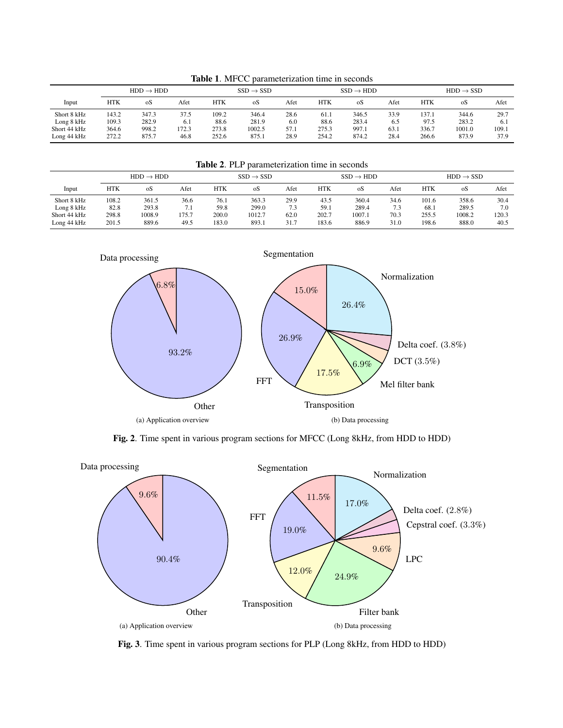| <b>THOIC</b> 1. THE CC parameterization three in becomes |                       |                |       |                       |                |      |                       |       |      |                       |                |       |
|----------------------------------------------------------|-----------------------|----------------|-------|-----------------------|----------------|------|-----------------------|-------|------|-----------------------|----------------|-------|
|                                                          | $HDD \rightarrow HDD$ |                |       | $SSD \rightarrow SSD$ |                |      | $SSD \rightarrow HDD$ |       |      | $HDD \rightarrow SSD$ |                |       |
| Input                                                    | <b>HTK</b>            | <sub>o</sub> S | Afet  | <b>HTK</b>            | <sub>o</sub> S | Afet | HTK                   | oS    | Afet | <b>HTK</b>            | <sub>o</sub> S | Afet  |
| Short 8 kHz                                              | 143.2                 | 347.3          | 37.5  | 109.2                 | 346.4          | 28.6 | 61.1                  | 346.5 | 33.9 | 137.1                 | 344.6          | 29.7  |
| Long 8 kHz                                               | 109.3                 | 282.9          | 6.1   | 88.6                  | 281.9          | 6.0  | 88.6                  | 283.4 | 6.5  | 97.5                  | 283.2          | 6.1   |
| Short 44 kHz                                             | 364.6                 | 998.2          | 172.3 | 273.8                 | 1002.5         | 57.1 | 275.3                 | 997.1 | 63.1 | 336.7                 | 1001.0         | 109.1 |
| Long 44 kHz                                              | 272.2                 | 875.7          | 46.8  | 252.6                 | 875.1          | 28.9 | 254.2                 | 874.2 | 28.4 | 266.6                 | 873.9          | 37.9  |

Table 1. MFCC parameterization time in seconds

Table 2. PLP parameterization time in seconds

|                                                          | $HDD \rightarrow HDD$           |                                   |                              | $SSD \rightarrow SSD$          |                                   |                             | $SSD \rightarrow HDD$          |                                   |                             | $HDD \rightarrow SSD$           |                                   |                              |
|----------------------------------------------------------|---------------------------------|-----------------------------------|------------------------------|--------------------------------|-----------------------------------|-----------------------------|--------------------------------|-----------------------------------|-----------------------------|---------------------------------|-----------------------------------|------------------------------|
| Input                                                    | HTK                             | <sub>o</sub> S                    | Afet                         | HTK                            | <sub>o</sub> S                    | Afet                        | HTK                            | oS                                | Afet                        | HTK                             | 0S                                | Afet                         |
| Short 8 kHz<br>Long 8 kHz<br>Short 44 kHz<br>Long 44 kHz | 108.2<br>82.8<br>298.8<br>201.5 | 361.5<br>293.8<br>1008.9<br>889.6 | 36.6<br>7.1<br>175.7<br>49.5 | 76.1<br>59.8<br>200.0<br>183.0 | 363.3<br>299.0<br>1012.7<br>893.1 | 29.9<br>7.3<br>62.0<br>31.7 | 43.5<br>59.1<br>202.7<br>183.6 | 360.4<br>289.4<br>1007.1<br>886.9 | 34.6<br>7.3<br>70.3<br>31.0 | 101.6<br>68.1<br>255.5<br>198.6 | 358.6<br>289.5<br>1008.2<br>888.0 | 30.4<br>7.0<br>120.3<br>40.5 |



Fig. 2. Time spent in various program sections for MFCC (Long 8kHz, from HDD to HDD)



Fig. 3. Time spent in various program sections for PLP (Long 8kHz, from HDD to HDD)